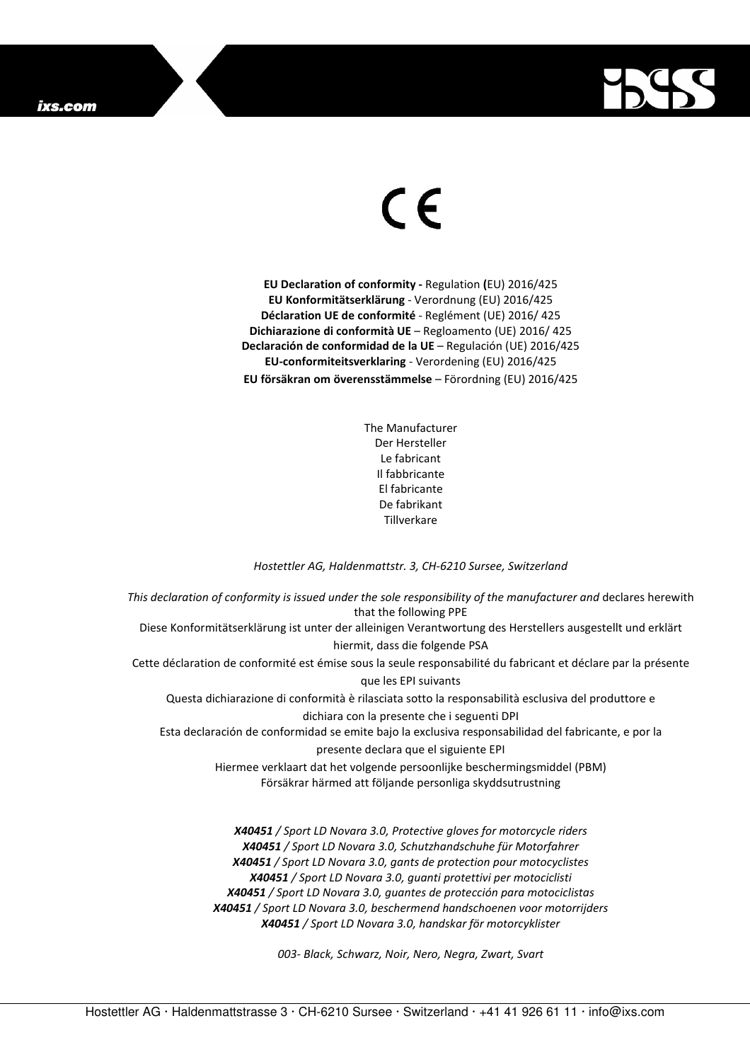

## $\in$

**EU Declaration of conformity -** Regulation **(**EU) 2016/425 **EU Konformitätserklärung** - Verordnung (EU) 2016/425 **Déclaration UE de conformité** - Reglément (UE) 2016/ 425 **Dichiarazione di conformità UE** – Regloamento (UE) 2016/ 425 **Declaración de conformidad de la UE** – Regulación (UE) 2016/425 **EU-conformiteitsverklaring** - Verordening (EU) 2016/425 **EU försäkran om överensstämmelse** – Förordning (EU) 2016/425

> The Manufacturer Der Hersteller Le fabricant Il fabbricante El fabricante De fabrikant Tillverkare

## *Hostettler AG, Haldenmattstr. 3, CH-6210 Sursee, Switzerland*

*This declaration of conformity is issued under the sole responsibility of the manufacturer and* declares herewith that the following PPE Diese Konformitätserklärung ist unter der alleinigen Verantwortung des Herstellers ausgestellt und erklärt hiermit, dass die folgende PSA Cette déclaration de conformité est émise sous la seule responsabilité du fabricant et déclare par la présente que les EPI suivants Questa dichiarazione di conformità è rilasciata sotto la responsabilità esclusiva del produttore e dichiara con la presente che i seguenti DPI Esta declaración de conformidad se emite bajo la exclusiva responsabilidad del fabricante, e por la presente declara que el siguiente EPI Hiermee verklaart dat het volgende persoonlijke beschermingsmiddel (PBM) Försäkrar härmed att följande personliga skyddsutrustning *X40451 / Sport LD Novara 3.0, Protective gloves for motorcycle riders X40451 / Sport LD Novara 3.0, Schutzhandschuhe für Motorfahrer X40451 / Sport LD Novara 3.0, gants de protection pour motocyclistes X40451 / Sport LD Novara 3.0, guanti protettivi per motociclisti* 

*X40451 / Sport LD Novara 3.0, guantes de protección para motociclistas* 

*X40451 / Sport LD Novara 3.0, beschermend handschoenen voor motorrijders X40451 / Sport LD Novara 3.0, handskar för motorcyklister* 

*003- Black, Schwarz, Noir, Nero, Negra, Zwart, Svart*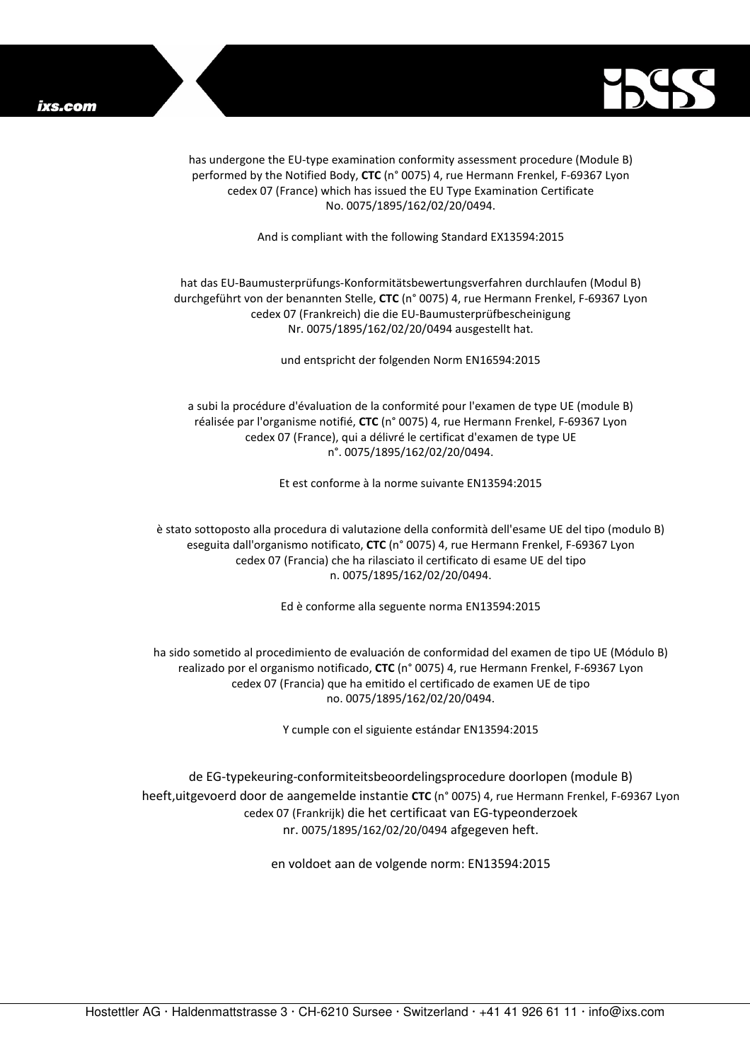

has undergone the EU-type examination conformity assessment procedure (Module B) performed by the Notified Body, **CTC** (n° 0075) 4, rue Hermann Frenkel, F-69367 Lyon cedex 07 (France) which has issued the EU Type Examination Certificate No. 0075/1895/162/02/20/0494.

And is compliant with the following Standard EX13594:2015

## hat das EU-Baumusterprüfungs-Konformitätsbewertungsverfahren durchlaufen (Modul B) durchgeführt von der benannten Stelle, **CTC** (n° 0075) 4, rue Hermann Frenkel, F-69367 Lyon cedex 07 (Frankreich) die die EU-Baumusterprüfbescheinigung Nr. 0075/1895/162/02/20/0494 ausgestellt hat.

und entspricht der folgenden Norm EN16594:2015

a subi la procédure d'évaluation de la conformité pour l'examen de type UE (module B) réalisée par l'organisme notifié, **CTC** (n° 0075) 4, rue Hermann Frenkel, F-69367 Lyon cedex 07 (France), qui a délivré le certificat d'examen de type UE n°. 0075/1895/162/02/20/0494.

Et est conforme à la norme suivante EN13594:2015

è stato sottoposto alla procedura di valutazione della conformità dell'esame UE del tipo (modulo B) eseguita dall'organismo notificato, **CTC** (n° 0075) 4, rue Hermann Frenkel, F-69367 Lyon cedex 07 (Francia) che ha rilasciato il certificato di esame UE del tipo n. 0075/1895/162/02/20/0494.

Ed è conforme alla seguente norma EN13594:2015

ha sido sometido al procedimiento de evaluación de conformidad del examen de tipo UE (Módulo B) realizado por el organismo notificado, **CTC** (n° 0075) 4, rue Hermann Frenkel, F-69367 Lyon cedex 07 (Francia) que ha emitido el certificado de examen UE de tipo no. 0075/1895/162/02/20/0494.

Y cumple con el siguiente estándar EN13594:2015

de EG-typekeuring-conformiteitsbeoordelingsprocedure doorlopen (module B) heeft,uitgevoerd door de aangemelde instantie **CTC** (n° 0075) 4, rue Hermann Frenkel, F-69367 Lyon cedex 07 (Frankrijk) die het certificaat van EG-typeonderzoek nr. 0075/1895/162/02/20/0494 afgegeven heft.

en voldoet aan de volgende norm: EN13594:2015